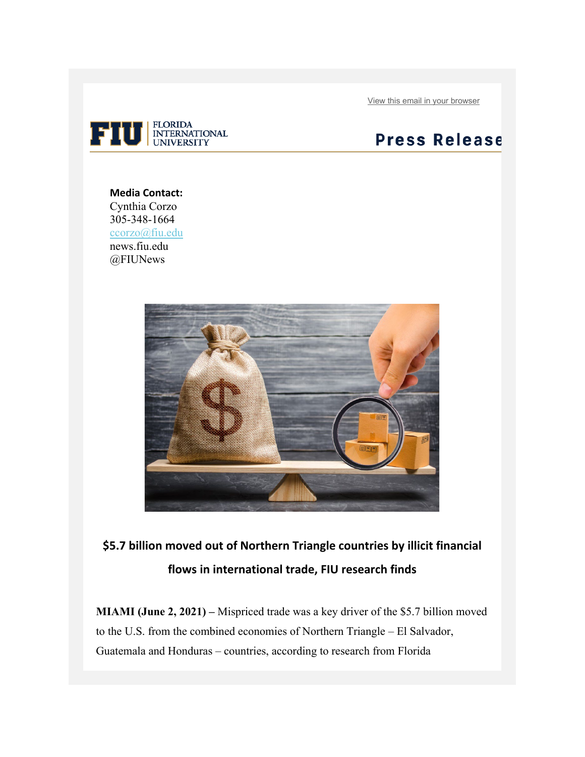[View this email in your browser](https://urldefense.com/v3/__https:/mailchi.mp/fiu/57-billion-moved-out-of-northern-triangle-countries-by-illicit-financial-flows-in-international-trade-fiu-research-finds?e=20bb9fdfac__;!!FjuHKAHQs5udqho!YcyeL7yxUGeHFN7KfKrr_LvCGFT0aXt_S7ebIkQmhj5cWW9-updGLgMVZFzT1ec$)



**Press Release** 

**Media Contact:** Cynthia Corzo 305-348-1664 [ccorzo@fiu.edu](mailto:ccorzo@fiu.edu) news.fiu.edu @FIUNews



**\$5.7 billion moved out of Northern Triangle countries by illicit financial flows in international trade, FIU research finds**

**MIAMI (June 2, 2021) –** Mispriced trade was a key driver of the \$5.7 billion moved to the U.S. from the combined economies of Northern Triangle – El Salvador, Guatemala and Honduras – countries, according to research from Florida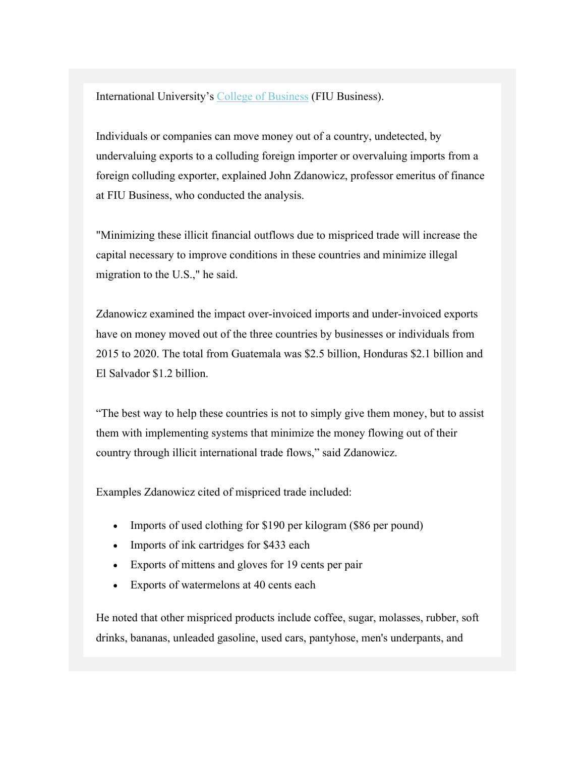International University's [College of Business](https://urldefense.com/v3/__https:/fiu.us1.list-manage.com/track/click?u=d13d9ca5483e1889af5c1cd91&id=517ff87e8c&e=20bb9fdfac__;!!FjuHKAHQs5udqho!YcyeL7yxUGeHFN7KfKrr_LvCGFT0aXt_S7ebIkQmhj5cWW9-updGLgMV_jbAbsQ$) (FIU Business).

Individuals or companies can move money out of a country, undetected, by undervaluing exports to a colluding foreign importer or overvaluing imports from a foreign colluding exporter, explained John Zdanowicz, professor emeritus of finance at FIU Business, who conducted the analysis.

"Minimizing these illicit financial outflows due to mispriced trade will increase the capital necessary to improve conditions in these countries and minimize illegal migration to the U.S.," he said.

Zdanowicz examined the impact over-invoiced imports and under-invoiced exports have on money moved out of the three countries by businesses or individuals from 2015 to 2020. The total from Guatemala was \$2.5 billion, Honduras \$2.1 billion and El Salvador \$1.2 billion.

"The best way to help these countries is not to simply give them money, but to assist them with implementing systems that minimize the money flowing out of their country through illicit international trade flows," said Zdanowicz.

Examples Zdanowicz cited of mispriced trade included:

- Imports of used clothing for \$190 per kilogram (\$86 per pound)
- Imports of ink cartridges for \$433 each
- Exports of mittens and gloves for 19 cents per pair
- Exports of watermelons at 40 cents each

He noted that other mispriced products include coffee, sugar, molasses, rubber, soft drinks, bananas, unleaded gasoline, used cars, pantyhose, men's underpants, and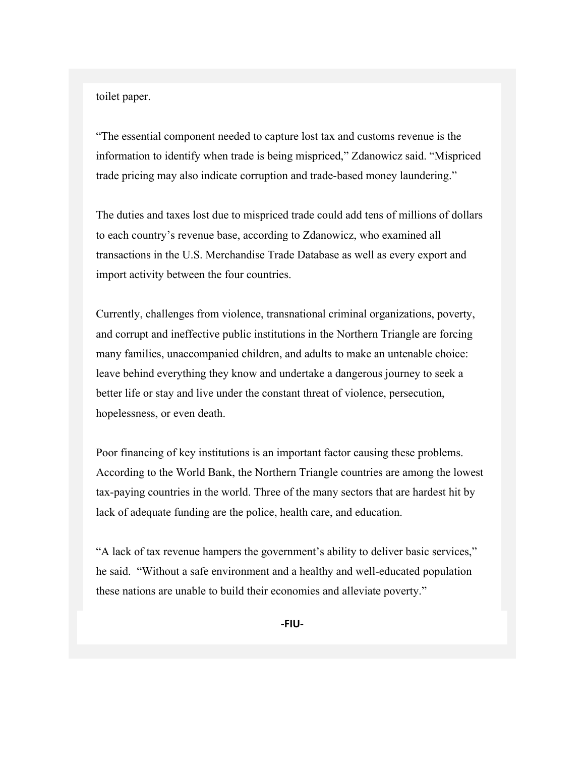toilet paper.

"The essential component needed to capture lost tax and customs revenue is the information to identify when trade is being mispriced," Zdanowicz said. "Mispriced trade pricing may also indicate corruption and trade-based money laundering."

The duties and taxes lost due to mispriced trade could add tens of millions of dollars to each country's revenue base, according to Zdanowicz, who examined all transactions in the U.S. Merchandise Trade Database as well as every export and import activity between the four countries.

Currently, challenges from violence, transnational criminal organizations, poverty, and corrupt and ineffective public institutions in the Northern Triangle are forcing many families, unaccompanied children, and adults to make an untenable choice: leave behind everything they know and undertake a dangerous journey to seek a better life or stay and live under the constant threat of violence, persecution, hopelessness, or even death.

Poor financing of key institutions is an important factor causing these problems. According to the World Bank, the Northern Triangle countries are among the lowest tax-paying countries in the world. Three of the many sectors that are hardest hit by lack of adequate funding are the police, health care, and education.

"A lack of tax revenue hampers the government's ability to deliver basic services," he said. "Without a safe environment and a healthy and well-educated population these nations are unable to build their economies and alleviate poverty."

**-FIU-**